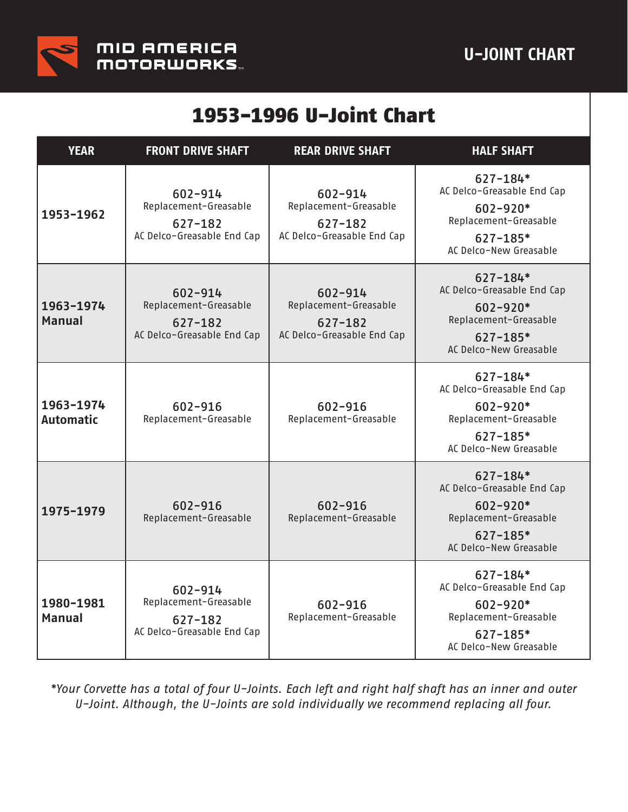

## 1953-1996 U-Joint Chart

| <b>YEAR</b>                   | <b>FRONT DRIVE SHAFT</b>                                                  | <b>REAR DRIVE SHAFT</b>                                                       | <b>HALF SHAFT</b>                                                                                                             |
|-------------------------------|---------------------------------------------------------------------------|-------------------------------------------------------------------------------|-------------------------------------------------------------------------------------------------------------------------------|
| 1953-1962                     | 602-914<br>Replacement-Greasable<br>627-182<br>AC Delco-Greasable End Cap | 602-914<br>Replacement-Greasable<br>627-182<br>AC Delco-Greasable End Cap     | $627 - 184*$<br>AC Delco-Greasable End Cap<br>$602 - 920*$<br>Replacement-Greasable<br>$627 - 185*$<br>AC Delco-New Greasable |
| 1963-1974<br><b>Manual</b>    | 602-914<br>Replacement-Greasable<br>627-182<br>AC Delco-Greasable End Cap | $602 - 914$<br>Replacement-Greasable<br>627-182<br>AC Delco-Greasable End Cap | $627 - 184*$<br>AC Delco-Greasable End Cap<br>$602 - 920*$<br>Replacement-Greasable<br>$627 - 185*$<br>AC Delco-New Greasable |
| 1963-1974<br><b>Automatic</b> | 602-916<br>Replacement-Greasable                                          | 602-916<br>Replacement-Greasable                                              | $627 - 184*$<br>AC Delco-Greasable End Cap<br>$602 - 920*$<br>Replacement-Greasable<br>$627 - 185*$<br>AC Delco-New Greasable |
| 1975-1979                     | 602-916<br>Replacement-Greasable                                          | 602-916<br>Replacement-Greasable                                              | $627 - 184*$<br>AC Delco-Greasable End Cap<br>$602 - 920*$<br>Replacement-Greasable<br>$627 - 185*$<br>AC Delco-New Greasable |
| 1980-1981<br><b>Manual</b>    | 602-914<br>Replacement-Greasable<br>627-182<br>AC Delco-Greasable End Cap | 602-916<br>Replacement-Greasable                                              | $627 - 184*$<br>AC Delco-Greasable End Cap<br>$602 - 920*$<br>Replacement-Greasable<br>$627 - 185*$<br>AC Delco-New Greasable |

*\*Your Corvette has a total of four U-Joints. Each left and right half shaft has an inner and outer U-Joint. Although, the U-Joints are sold individually we recommend replacing all four.*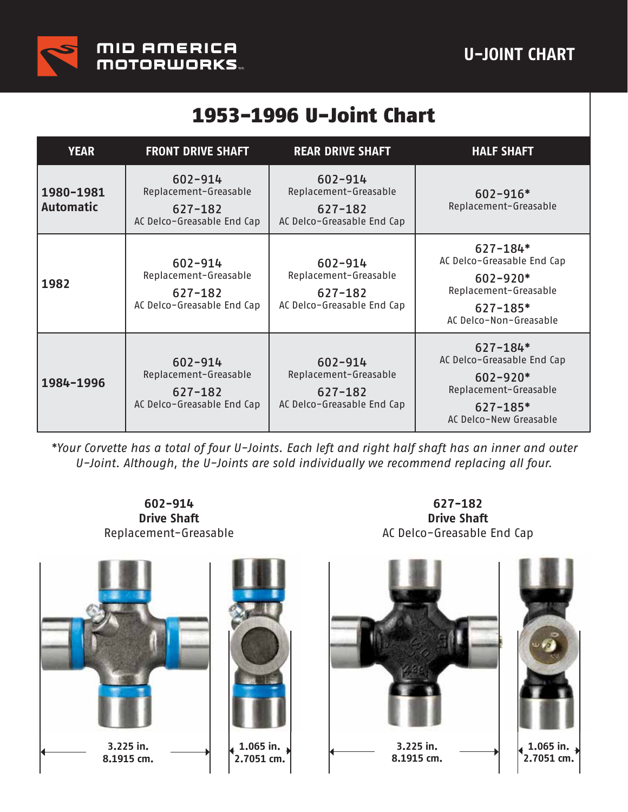

## 1953-1996 U-Joint Chart

| <b>YEAR</b>                   | <b>FRONT DRIVE SHAFT</b>                                                  | <b>REAR DRIVE SHAFT</b>                                                       | <b>HALF SHAFT</b>                                                                                                             |
|-------------------------------|---------------------------------------------------------------------------|-------------------------------------------------------------------------------|-------------------------------------------------------------------------------------------------------------------------------|
| 1980-1981<br><b>Automatic</b> | 602-914<br>Replacement-Greasable<br>627-182<br>AC Delco-Greasable End Cap | 602-914<br>Replacement-Greasable<br>$627 - 182$<br>AC Delco-Greasable End Cap | $602 - 916*$<br>Replacement-Greasable                                                                                         |
| 1982                          | 602-914<br>Replacement-Greasable<br>627-182<br>AC Delco-Greasable End Cap | 602-914<br>Replacement-Greasable<br>$627 - 182$<br>AC Delco-Greasable End Cap | $627 - 184*$<br>AC Delco-Greasable End Cap<br>$602 - 920*$<br>Replacement-Greasable<br>$627 - 185*$<br>AC Delco-Non-Greasable |
| 1984-1996                     | 602-914<br>Replacement-Greasable<br>627-182<br>AC Delco-Greasable End Cap | 602-914<br>Replacement-Greasable<br>$627 - 182$<br>AC Delco-Greasable End Cap | $627 - 184*$<br>AC Delco-Greasable End Cap<br>$602 - 920*$<br>Replacement-Greasable<br>$627 - 185*$<br>AC Delco-New Greasable |

*\*Your Corvette has a total of four U-Joints. Each left and right half shaft has an inner and outer U-Joint. Although, the U-Joints are sold individually we recommend replacing all four.*

**602-914 Drive Shaft** Replacement-Greasable

**627-182 Drive Shaft** AC Delco-Greasable End Cap